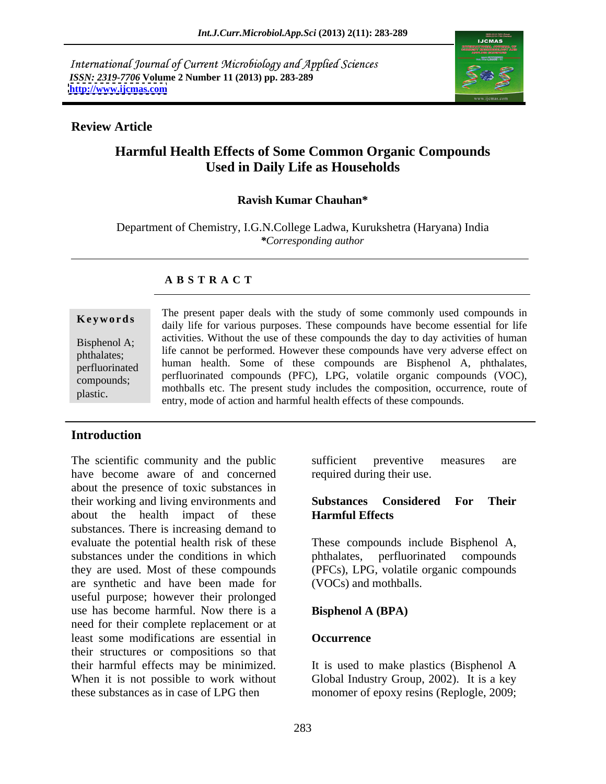International Journal of Current Microbiology and Applied Sciences *ISSN: 2319-7706* **Volume 2 Number 11 (2013) pp. 283-289 <http://www.ijcmas.com>**



### **Review Article**

# **Harmful Health Effects of Some Common Organic Compounds Used in Daily Life as Households**

### **Ravish Kumar Chauhan\***

Department of Chemistry, I.G.N.College Ladwa, Kurukshetra (Haryana) India *\*Corresponding author*

### **A B S T R A C T**

**Keywords** daily life for various purposes. These compounds have become essential for life Bisphenol A; activities. Without the use of these compounds the day to day activities of human phthalates; life cannot be performed. However these compounds have very adverse effect on perfluorinated  $\frac{\text{numan}}{\text{num}}$  health. Some of these compounds are displicition A, philadates, compounds; perfluorinated compounds (PFC), LPG, volatile organic compounds (VOC), **Example 18 Section** The present paper deals with the study of some commonly used compounds in<br>
daily life for various purposes. These compounds have become essential for life<br>
activities. Without the use of these compound human health. Some of these compounds are Bisphenol A, phthalates, mothballs etc. The present study includes the composition, occurrence, route of entry, mode of action and harmful health effects of these compounds.

# **Introduction**

The scientific community and the public sufficient preventive measures are have become aware of and concerned about the presence of toxic substances in their working and living environments and **Substances Considered For Their** about the health impact of these **Harmful Effects** substances. There is increasing demand to evaluate the potential health risk of these substances under the conditions in which phthalates, perfluorinated compounds they are used. Most of these compounds (PFCs), LPG, volatile organic compounds are synthetic and have been made for useful purpose; however their prolonged use has become harmful. Now there is a need for their complete replacement or at least some modifications are essential in their structures or compositions so that their harmful effects may be minimized. When it is not possible to work without Global Industry Group, 2002). It is a key these substances as in case of LPG then monomer of epoxy resins (Replogle, 2009;

sufficient preventive measures are required during their use.

### **Substances Considered For Their Harmful Effects**

These compounds include Bisphenol A, phthalates, perfluorinated compounds (VOCs) and mothballs.

### **Bisphenol A (BPA)**

### **Occurrence**

It is used to make plastics (Bisphenol A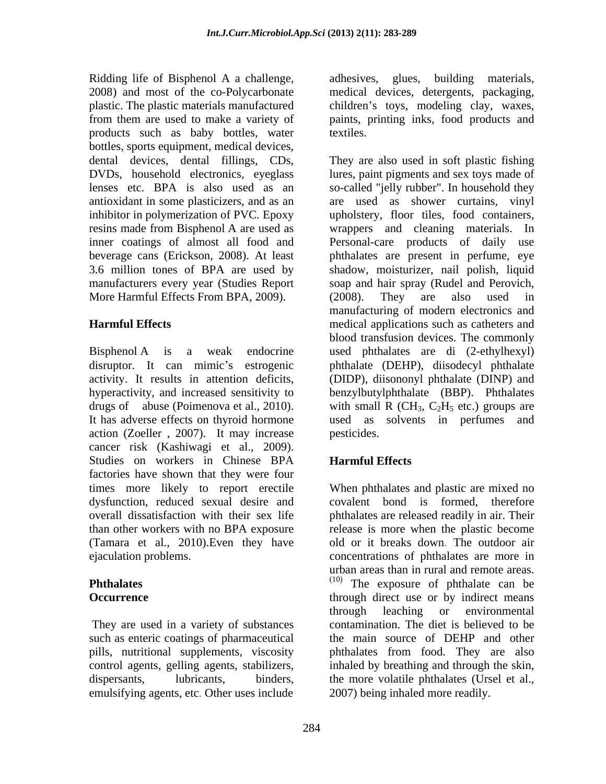Ridding life of Bisphenol A a challenge, adhesives, glues, building materials, 2008) and most of the co-Polycarbonate medical devices, detergents, packaging, plastic. The plastic materials manufactured children's toys, modeling clay, waxes, from them are used to make a variety of paints, printing inks, food products and products such as baby bottles, water bottles, sports equipment, medical devices, More Harmful Effects From BPA, 2009). (2008). They are also used in

activity. It results in attention deficits, action (Zoeller , 2007). It may increase cancer risk (Kashiwagi et al., 2009).<br>Studies on workers in Chinese BPA **Harmful-Effects** factories have shown that they were four dysfunction, reduced sexual desire and (Tamara et al., 2010).Even they have

They are used in a variety of substances such as enteric coatings of pharmaceutical emulsifying agents, etc. Other uses include adhesives, glues, building materials, medical devices, detergents, packaging, textiles.

dental devices, dental fillings, CDs, They are also used in soft plastic fishing DVDs, household electronics, eyeglass lures, paint pigments and sex toys made of lenses etc. BPA is also used as an so-called "jelly rubber". In household they antioxidant in some plasticizers, and as an are used as shower curtains, vinyl inhibitor in polymerization of PVC. Epoxy upholstery, floor tiles, food containers, resins made from Bisphenol A are used as wrappers and cleaning materials. In inner coatings of almost all food and Personal-care products of daily use beverage cans (Erickson, 2008). At least phthalates are present in perfume, eye 3.6 million tones of BPA are used by shadow, moisturizer, nail polish, liquid manufacturers every year (Studies Report soap and hair spray (Rudel and Perovich, **Harmful Effects** medical applications such as catheters and Bisphenol A is a weak endocrine used phthalates are di (2-ethylhexyl) disruptor. It can mimic's estrogenic phthalate (DEHP), diisodecyl phthalate hyperactivity, and increased sensitivity to benzylbutylphthalate (BBP). Phthalates drugs of abuse (Poimenova et al., 2010). with small R (CH<sub>3</sub>, C<sub>2</sub>H<sub>5</sub> etc.) groups are It has adverse effects on thyroid hormone used as solvents in perfumes and (2008). They are also used in manufacturing of modern electronics and blood transfusion devices. The commonly (DIDP), diisononyl phthalate (DINP) and pesticides.

# **Harmful Effects**

times more likely to report erectile When phthalates and plastic are mixed no overall dissatisfaction with their sex life phthalates are released readily in air. Their than other workers with no BPA exposure release is more when the plastic become ejaculation problems. concentrations of phthalates are more in **Phthalates Phthalates Phthalates exposure** than in rural and remote areas.<br>
The exposure of phthalate can be **Occurrence through direct use or by indirect means** pills, nutritional supplements, viscosity phthalates from food. They are also control agents, gelling agents, stabilizers, inhaled by breathing and through the skin, dispersants, lubricants, binders, the more volatile phthalates (Ursel et al., covalent bond is formed, therefore old or it breaks down. The outdoor air through leaching or environmental contamination. The diet is believed to be the main source of DEHP and other 2007) being inhaled more readily.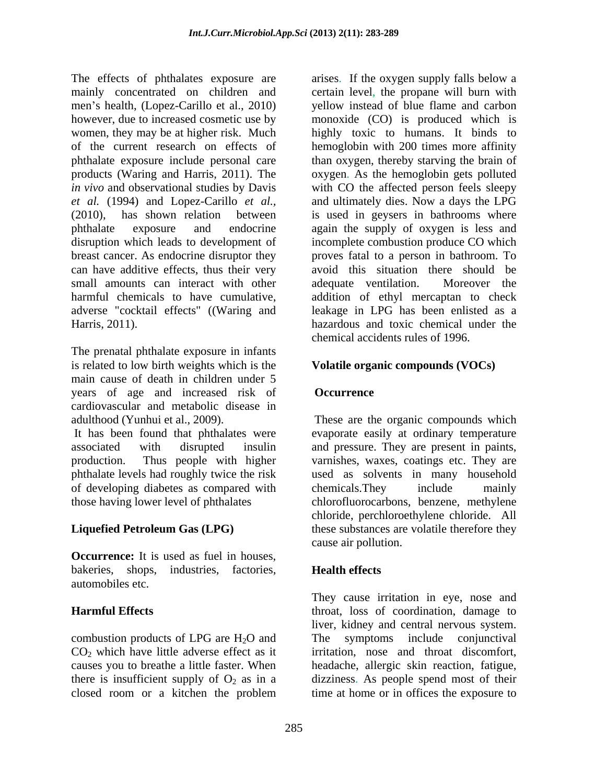The effects of phthalates exposure are mainly concentrated on children and certain level, the propane will burn with men's health, (Lopez-Carillo et al., 2010) yellow instead of blue flame and carbon however, due to increased cosmetic use by monoxide (CO) is produced which is women, they may be at higher risk. Much highly toxic to humans. It binds to of the current research on effects of hemoglobin with 200 times more affinity phthalate exposure include personal care than oxygen, thereby starving the brain of products (Waring and Harris, 2011). The oxygen. As the hemoglobin gets polluted *in vivo* and observational studies by Davis with CO the affected person feels sleepy *et al.* (1994) and Lopez-Carillo *et al.,* and ultimately dies. Now a days the LPG (2010), has shown relation between is used in geysers in bathrooms where phthalate exposure and endocrine again the supply of oxygen isless and disruption which leads to development of incomplete combustion produce CO which breast cancer. As endocrine disruptor they can have additive effects, thus their very small amounts can interact with other adequate ventilation. Moreover the harmful chemicals to have cumulative, addition of ethyl mercaptan to check adverse "cocktail effects" ((Waring and leakage in LPG has been enlisted as a Harris, 2011). hazardous and toxic chemical under the

The prenatal phthalate exposure in infants is related to low birth weights which is the main cause of death in children under 5 years of age and increased risk of cardiovascular and metabolic disease in

associated with disrupted insulin and pressure. They are present in paints, production. Thus people with higher varnishes, waxes, coatings etc. They are phthalate levels had roughly twice the risk used as solvents in many household of developing diabetes as compared with chemicals. They include mainly those having lower level of phthalates chlorofluorocarbons, benzene, methylene

**Occurrence:** It is used as fuel in houses, bakeries, shops, industries, factories, **Health effects** automobiles etc.

combustion products of LPG are  $H_2O$  and The  $CO<sub>2</sub>$  which have little adverse effect as it causes you to breathe a little faster. When closed room or a kitchen the problem time at home or in offices the exposure to

arises. If the oxygen supply falls below a proves fatal to a person in bathroom. To avoid this situation there should be adequate ventilation. Moreover the chemical accidents rules of 1996.

### **Volatile organic compounds (VOCs)**

### **Occurrence**

adulthood (Yunhui et al., 2009). These are the organic compounds which It has been found that phthalates were evaporate easily at ordinary temperature those having lower level of phthalates chlorofluorocarbons, benzene, methylene **Liquefied Petroleum Gas (LPG)** these substances are volatile therefore they chemicals.They include mainly chloride, perchloroethylene chloride. All cause air pollution.

# **Health effects**

**Harmful Effects** throat, loss of coordination, damage to causes you to breathe a little faster. When headache, allergic skin reaction, fatigue, there is insufficient supply of  $O_2$  as in a dizziness. As people spend most of their They cause irritation in eye, nose and liver, kidney and central nervous system. symptoms include conjunctival irritation, nose and throat discomfort, time at home or in offices the exposure to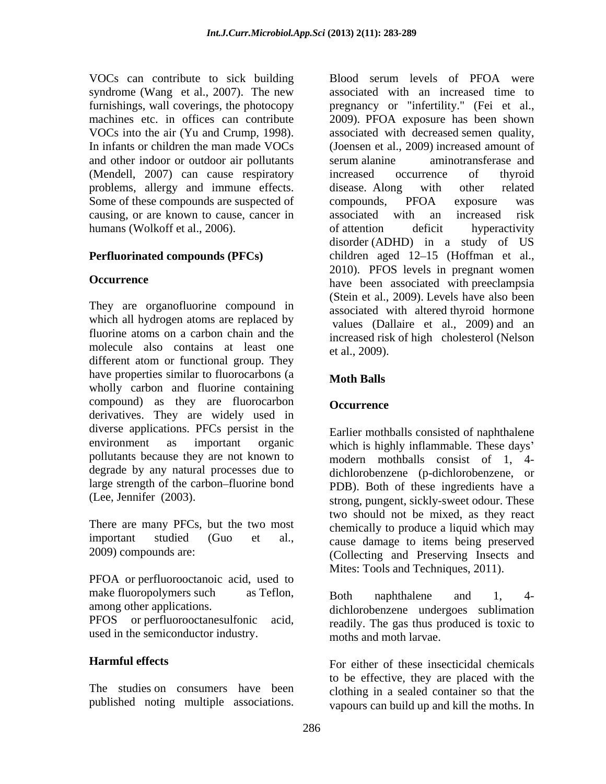VOCs can contribute to sick building Blood serum levels of PFOA were syndrome (Wang et al., 2007). The new and other indoor or outdoor air pollutants (Mendell, 2007) can cause respiratory increased occurrence of thyroid problems, allergy and immune effects. disease. Along with other related Some of these compounds are suspected of compounds, PFOA exposure was causing, or are known to cause, cancer in associated with an increased risk humans (Wolkoff et al., 2006). The of attention deficit hyperactivity

They are organofluorine compound in which all hydrogen atoms are replaced by fluorine atoms on a carbon chain and the molecule also contains at least one  $et al., 2009$ . different atom or functional group. They have properties similar to fluorocarbons (a **Moth Balls** wholly carbon and fluorine containing compound) as they are fluorocarbon Occurrence derivatives. They are widely used in diverse applications. PFCs persist in the pollutants because they are not known to degrade by any natural processes due to large strength of the carbon-fluorine bond

There are many PFCs, but the two most

PFOA or perfluorooctanoic acid, used to make fluoropolymers such as Teflon, Both naphthalene and 1, 4-<br>among other applications.  $\begin{array}{ccc} \text{a} & \text{b} & \text{c} \\ \text{c} & \text{d} & \text{d} & \text{d} \\ \text{d} & \text{d} & \text{d} & \text{d} \\ \text{e} & \text{d} & \text{e} & \text{d} \end{array}$ 

The studies on consumers have been clothing in a sealed container so that the

furnishings, wall coverings, the photocopy pregnancy or "infertility." (Fei et al., machines etc. in offices can contribute 2009). PFOA exposure has been shown VOCs into the air (Yu and Crump, 1998). associated with decreased semen quality,<br>In infants or children the man made VOCs (Joensen et al., 2009) increased amount of **Perfluorinated compounds (PFCs)** children aged 12–15 (Hoffman et al., **Occurrence** have been associated with preeclampsia VOCs can convinibue to sixth harmas public and the red associated with a method of PFOA were associated with a method serum level association of the sixth constraining. Soul coverage, the photon method can public in the s associated with an increased time to associated with decreased semen quality, (Joensen et al., 2009) increased amount of serum alanine aminotransferase and increased occurrence of thyroid disease. Along with other related compounds, PFOA exposure was associated with an increased risk of attention deficit hyperactivity disorder (ADHD) in a study of US 2010). PFOS levels in pregnant women (Stein et al., 2009). Levels have also been associated with altered thyroid hormone values (Dallaire et al., 2009) and an increased risk of high cholesterol (Nelson et al., 2009).

# **Moth Balls**

### **Occurrence**

environment as important organic which is highly inflammable. These days' (Lee, Jennifer (2003). strong, pungent, sickly-sweet odour. These important studied (Guo et al., cause damage to items being preserved 2009) compounds are: (Collecting and Preserving Insects and Earlier mothballs consisted of naphthalene modern mothballs consist of 1, 4 dichlorobenzene (p-dichlorobenzene, or PDB). Both of these ingredients have a two should not be mixed, as they react chemically to produce a liquid which may Mites: Tools and Techniques, 2011).

PFOS or perfluorooctanesulfonic acid,<br>used in the semiconductor industry.<br>moths and moth larvae. Both naphthalene and 1, 4 dichlorobenzene undergoes sublimation readily. The gas thus produced is toxic to moths and moth larvae.

**Harmful effects** For either of these insecticidal chemicals to be effective, they are placed with the vapours can build up and kill the moths. In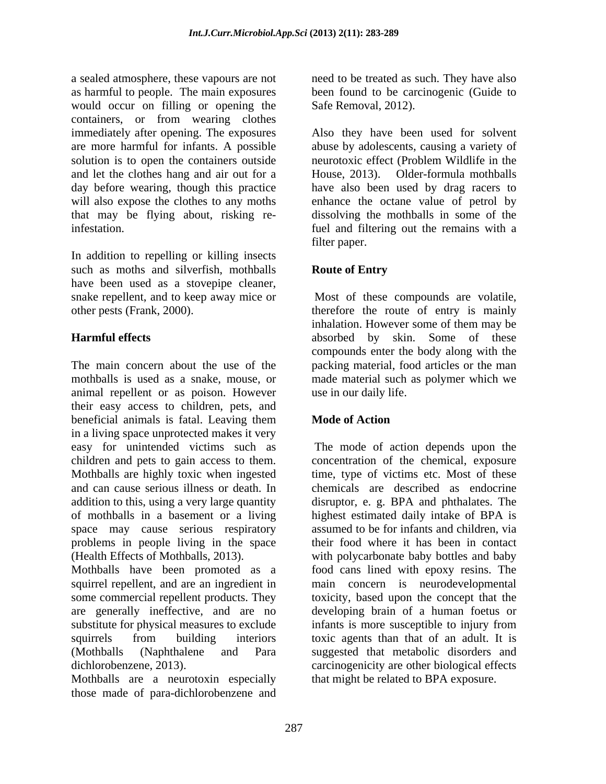a sealed atmosphere, these vapours are not need to be treated as such. They have also as harmful to people. The main exposures been found to be carcinogenic (Guide to would occur on filling or opening the containers, or from wearing clothes immediately after opening. The exposures Also they have been used for solvent are more harmful for infants. A possible abuse by adolescents, causing a variety of solution is to open the containers outside neurotoxic effect (Problem Wildlife in the and let the clothes hang and air out for a House, 2013). Older-formula mothballs day before wearing, though this practice have also been used by drag racers to will also expose the clothes to any moths enhance the octane value of petrol by that may be flying about, risking reinfestation. fuel and filtering out the remains with a

In addition to repelling or killing insects such as moths and silverfish, mothballs **Route of Entry** have been used as a stovepipe cleaner, snake repellent, and to keep away mice or

The main concern about the use of the packing material, food articles or the man mothballs is used as a snake, mouse, or made material such as polymer which we animal repellent or as poison. However their easy access to children, pets, and beneficial animals is fatal. Leaving them **Mode of Action** in a living space unprotected makes it very easy for unintended victims such as The mode of action depends upon the children and pets to gain access to them. Mothballs are highly toxic when ingested time, type of victims etc. Most of these and can cause serious illness or death. In chemicals are described as endocrine addition to this, using a very large quantity of mothballs in a basement or a living highest estimated daily intake of BPA is space may cause serious respiratory problems in people living in the space (Health Effects of Mothballs, 2013). with polycarbonate baby bottles and baby

Mothballs have been promoted as a food cans lined with epoxy resins. The squirrel repellent, and are an ingredient in main concern is neurodevelopmental some commercial repellent products. They toxicity, based upon the concept that the are generally ineffective, and are no developing brain of a human foetus or substitute for physical measures to exclude infants is more susceptible to injury from squirrels from building interiors toxic agents than that of an adult. It is (Mothballs (Naphthalene and Para suggested that metabolic disorders and

those made of para-dichlorobenzene and

Safe Removal, 2012).

House, 2013). Older-formula mothballs dissolving the mothballs in some of the filter paper.

# **Route of Entry**

other pests (Frank, 2000). therefore the route of entry is mainly **Harmful effects** absorbed by skin. Some of these Most of these compounds are volatile, inhalation. However some of them may be compounds enter the body along with the use in our daily life.

### **Mode of Action**

dichlorobenzene, 2013). carcinogenicity are other biological effects dichlorobenzene, 2013). carcinogenicity are other biological effects<br>Mothballs are a neurotoxin especially that might be related to BPA exposure. concentration of the chemical, exposure disruptor, e. g. BPA and phthalates. The assumed to be for infants and children, via their food where it has been in contact toxic agents than that of an adult. It is that might be related to BPA exposure.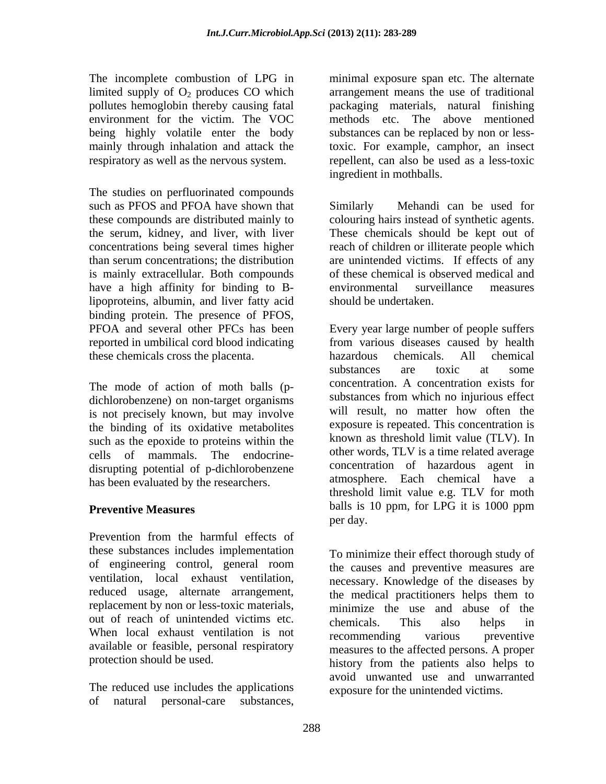The incomplete combustion of LPG in minimal exposure span etc. The alternate limited supply of  $O_2$  produces CO which<br>pollutes hemoglobin thereby causing fatal

The studies on perfluorinated compounds is mainly extracellular. Both compounds have a high affinity for binding to B- environmental surveillance measures lipoproteins, albumin, and liver fatty acid binding protein. The presence of PFOS,<br>PFOA and several other PFCs has been these chemicals cross the placenta.

The mode of action of moth balls (p dichlorobenzene) on non-target organisms is not precisely known, but may involve the binding of its oxidative metabolites such as the epoxide to proteins within the cells of mammals. The endocrine disrupting potential of p-dichlorobenzene has been evaluated by the researchers.

Prevention from the harmful effects of these substances includes implementation of engineering control, general room reduced usage, alternate arrangement, the medical practitioners helps them to replacement by non or less-toxic materials, out of reach of unintended victims etc. chemicals. This also helps in When local exhaust ventilation is not recommending various preventive available or feasible, personal respiratory

The reduced use includes the applications

pollutes hemoglobin thereby causing fatal packaging materials, natural finishing environment for the victim. The VOC methods etc. The above mentioned being highly volatile enter the body substancescan be replaced by non or lessmainly through inhalation and attack the toxic. For example, camphor, an insect respiratory as well as the nervous system. repellent, can also be used as a less-toxic arrangement means the use of traditional ingredient in mothballs.

such as PFOS and PFOA have shown that Similarly Mehandi can be used for these compounds are distributed mainly to colouring hairs instead of synthetic agents. the serum, kidney, and liver, with liver These chemicals should be kept out of concentrations being several times higher reach of children or illiterate people which than serum concentrations; the distribution are unintended victims. If effects of any Similarly Mehandi can be used for of these chemical is observed medical and environmental surveillance measures should be undertaken.

PFOA and several other PFCs has been Every year large number of people suffers reported in umbilical cord blood indicating from various diseases caused by health **Preventive Measures** balls is 10 ppm, for LPG it is 1000 ppm The incomplete continuous of TFG in minimal exposure span etc. The alternate<br>
finitely span etc. The alternate personalistic incomplex of the product incomplex for the stellar<br>
political personal-care in the stellar perso hazardous chemicals. All chemical substances are toxic at some concentration. A concentration exists for substances from which no injurious effect will result, no matter how often the exposure is repeated. This concentration is known as threshold limit value (TLV). In other words, TLV is a time related average concentration of hazardous agent in atmosphere. Each chemical have a threshold limit value e.g. TLV for moth per day.

ventilation, local exhaust ventilation, necessary. Knowledge of the diseases by protection should be used. history from the patients also helps to To minimize their effect thorough study of the causes and preventive measures are the medical practitioners helps them to minimize the use and abuse of the chemicals. This also helps in recommending various preventive measures to the affected persons. A proper avoid unwanted use and unwarranted exposure for the unintended victims.